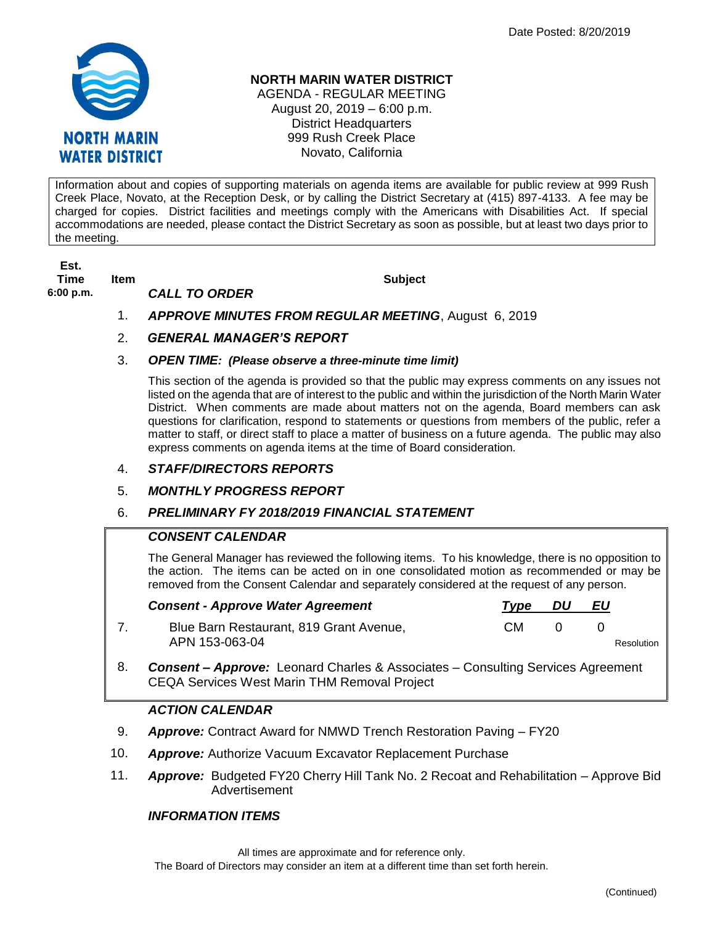

## **NORTH MARIN WATER DISTRICT**

AGENDA - REGULAR MEETING August 20, 2019 – 6:00 p.m. District Headquarters 999 Rush Creek Place Novato, California

Information about and copies of supporting materials on agenda items are available for public review at 999 Rush Creek Place, Novato, at the Reception Desk, or by calling the District Secretary at (415) 897-4133. A fee may be charged for copies. District facilities and meetings comply with the Americans with Disabilities Act. If special accommodations are needed, please contact the District Secretary as soon as possible, but at least two days prior to the meeting.

**Est. Time Item Subject**

**6:00 p.m.** *CALL TO ORDER* 

- 1. *APPROVE MINUTES FROM REGULAR MEETING*, August 6, 2019
- 2. *GENERAL MANAGER'S REPORT*
- 3. *OPEN TIME: (Please observe a three-minute time limit)*

This section of the agenda is provided so that the public may express comments on any issues not listed on the agenda that are of interest to the public and within the jurisdiction of the North Marin Water District. When comments are made about matters not on the agenda, Board members can ask questions for clarification, respond to statements or questions from members of the public, refer a matter to staff, or direct staff to place a matter of business on a future agenda. The public may also express comments on agenda items at the time of Board consideration.

## 4. *STAFF/DIRECTORS REPORTS*

5. *MONTHLY PROGRESS REPORT*

## 6. *PRELIMINARY FY 2018/2019 FINANCIAL STATEMENT*

## *CONSENT CALENDAR*

The General Manager has reviewed the following items. To his knowledge, there is no opposition to the action. The items can be acted on in one consolidated motion as recommended or may be removed from the Consent Calendar and separately considered at the request of any person.

| <b>Consent - Approve Water Agreement</b>                                    | Tvpe | DU           | EU |            |
|-----------------------------------------------------------------------------|------|--------------|----|------------|
| Blue Barn Restaurant, 819 Grant Avenue,<br>APN 153-063-04                   | CM.  | $\mathbf{0}$ |    | Resolution |
| Consent Annreug: Leonard Charles & Associatos Consulting Sensices Agreement |      |              |    |            |

8. *Consent – Approve:* Leonard Charles & Associates – Consulting Services Agreement CEQA Services West Marin THM Removal Project

## *ACTION CALENDAR*

- 9. *Approve:* Contract Award for NMWD Trench Restoration Paving FY20
- 10. *Approve:* Authorize Vacuum Excavator Replacement Purchase
- 11. *Approve:* Budgeted FY20 Cherry Hill Tank No. 2 Recoat and Rehabilitation Approve Bid Advertisement

## *INFORMATION ITEMS*

All times are approximate and for reference only. The Board of Directors may consider an item at a different time than set forth herein.